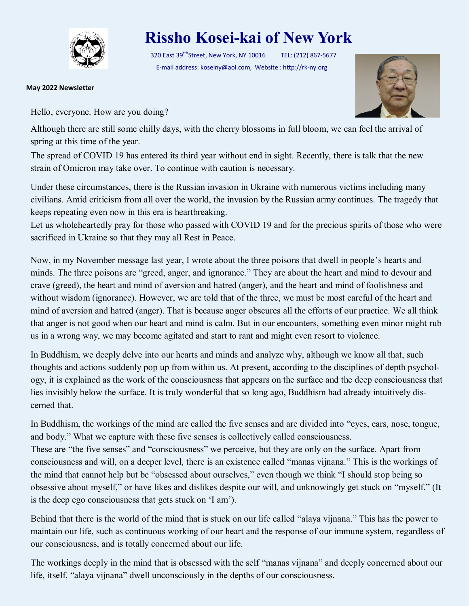

## **Rissho Kosei-kai of New York**

320 East 39<sup>tth</sup>Street, New York, NY 10016 TEL: (212) 867-5677 E-mail address: koseiny@aol.com, Website : http://rk-ny.org

**May 2022 Newsletter**

Hello, everyone. How are you doing?



Although there are still some chilly days, with the cherry blossoms in full bloom, we can feel the arrival of spring at this time of the year.

The spread of COVID 19 has entered its third year without end in sight. Recently, there is talk that the new strain of Omicron may take over. To continue with caution is necessary.

Under these circumstances, there is the Russian invasion in Ukraine with numerous victims including many civilians. Amid criticism from all over the world, the invasion by the Russian army continues. The tragedy that keeps repeating even now in this era is heartbreaking.

Let us wholeheartedly pray for those who passed with COVID 19 and for the precious spirits of those who were sacrificed in Ukraine so that they may all Rest in Peace.

Now, in my November message last year, I wrote about the three poisons that dwell in people's hearts and minds. The three poisons are "greed, anger, and ignorance." They are about the heart and mind to devour and crave (greed), the heart and mind of aversion and hatred (anger), and the heart and mind of foolishness and without wisdom (ignorance). However, we are told that of the three, we must be most careful of the heart and mind of aversion and hatred (anger). That is because anger obscures all the efforts of our practice. We all think that anger is not good when our heart and mind is calm. But in our encounters, something even minor might rub us in a wrong way, we may become agitated and start to rant and might even resort to violence.

In Buddhism, we deeply delve into our hearts and minds and analyze why, although we know all that, such thoughts and actions suddenly pop up from within us. At present, according to the disciplines of depth psychology, it is explained as the work of the consciousness that appears on the surface and the deep consciousness that lies invisibly below the surface. It is truly wonderful that so long ago, Buddhism had already intuitively discerned that.

In Buddhism, the workings of the mind are called the five senses and are divided into "eyes, ears, nose, tongue, and body." What we capture with these five senses is collectively called consciousness.

These are "the five senses" and "consciousness" we perceive, but they are only on the surface. Apart from consciousness and will, on a deeper level, there is an existence called "manas vijnana." This is the workings of the mind that cannot help but be "obsessed about ourselves," even though we think "I should stop being so obsessive about myself," or have likes and dislikes despite our will, and unknowingly get stuck on "myself." (It is the deep ego consciousness that gets stuck on 'I am').

Behind that there is the world of the mind that is stuck on our life called "alaya vijnana." This has the power to maintain our life, such as continuous working of our heart and the response of our immune system, regardless of our consciousness, and is totally concerned about our life.

The workings deeply in the mind that is obsessed with the self "manas vijnana" and deeply concerned about our life, itself, "alaya vijnana" dwell unconsciously in the depths of our consciousness.